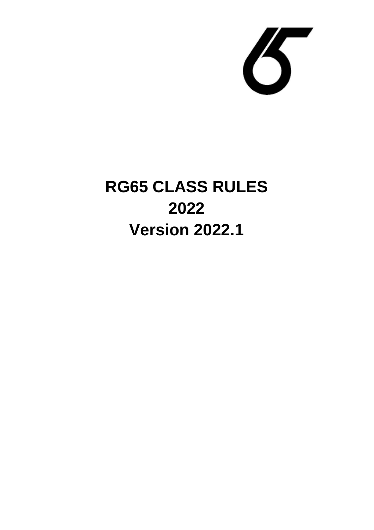

# **RG65 CLASS RULES 2022 Version 2022.1**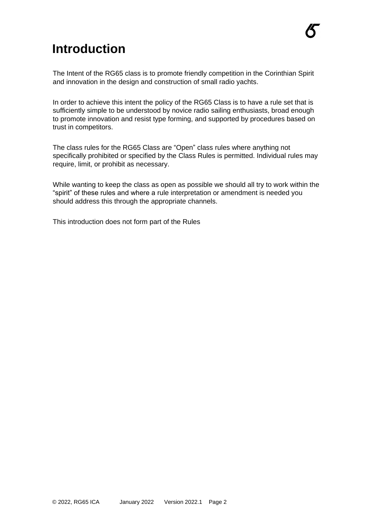### **Introduction**

The Intent of the RG65 class is to promote friendly competition in the Corinthian Spirit and innovation in the design and construction of small radio yachts.

In order to achieve this intent the policy of the RG65 Class is to have a rule set that is sufficiently simple to be understood by novice radio sailing enthusiasts, broad enough to promote innovation and resist type forming, and supported by procedures based on trust in competitors.

The class rules for the RG65 Class are "Open" class rules where anything not specifically prohibited or specified by the Class Rules is permitted. Individual rules may require, limit, or prohibit as necessary.

While wanting to keep the class as open as possible we should all try to work within the "spirit" of these rules and where a rule interpretation or amendment is needed you should address this through the appropriate channels.

This introduction does not form part of the Rules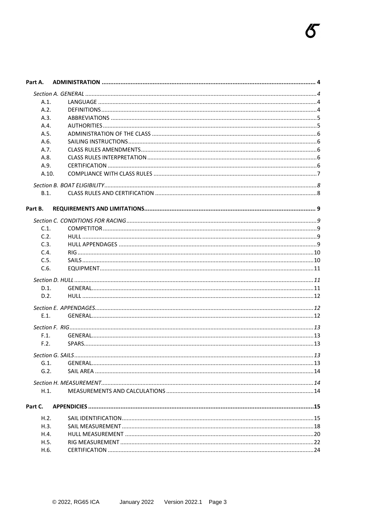| Part A.         |  |
|-----------------|--|
|                 |  |
| A.1.            |  |
| A.2.            |  |
| A.3.            |  |
| A.4.            |  |
| A.5.            |  |
| A.6.            |  |
| A.7.            |  |
| A.8.            |  |
| A.9.            |  |
| A.10.           |  |
|                 |  |
| B.1.            |  |
| Part B.         |  |
|                 |  |
| C.1.            |  |
| C.2.            |  |
| C.3.            |  |
| C.4.            |  |
| C.5.            |  |
| C.6.            |  |
|                 |  |
| D.1.            |  |
| D.2.            |  |
|                 |  |
| E.1.            |  |
|                 |  |
| F.1.            |  |
| F.2.            |  |
|                 |  |
|                 |  |
| $G.1$ .<br>G.2. |  |
|                 |  |
|                 |  |
| H.1.            |  |
| Part C.         |  |
| H.2.            |  |
| H.3.            |  |
| H.4.            |  |
| H.5.            |  |
| H.6.            |  |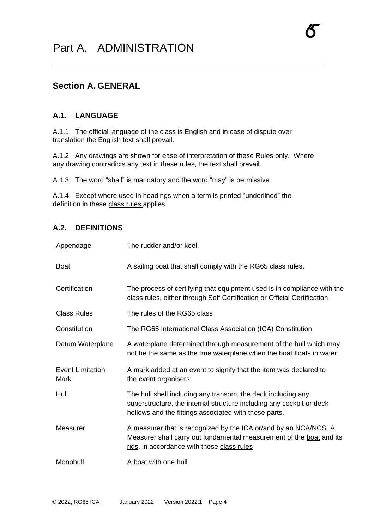#### **Section A. GENERAL**

#### **A.1. LANGUAGE**

A.1.1 The official language of the class is English and in case of dispute over translation the English text shall prevail.

A.1.2 Any drawings are shown for ease of interpretation of these Rules only. Where any drawing contradicts any text in these rules, the text shall prevail.

A.1.3 The word "shall" is mandatory and the word "may" is permissive.

A.1.4 Except where used in headings when a term is printed "underlined" the definition in these class rules applies.

#### **A.2. DEFINITIONS**

| Appendage                       | The rudder and/or keel.                                                                                                                                                                       |
|---------------------------------|-----------------------------------------------------------------------------------------------------------------------------------------------------------------------------------------------|
| <b>Boat</b>                     | A sailing boat that shall comply with the RG65 class rules.                                                                                                                                   |
| Certification                   | The process of certifying that equipment used is in compliance with the<br>class rules, either through Self Certification or Official Certification                                           |
| <b>Class Rules</b>              | The rules of the RG65 class                                                                                                                                                                   |
| Constitution                    | The RG65 International Class Association (ICA) Constitution                                                                                                                                   |
| Datum Waterplane                | A waterplane determined through measurement of the hull which may<br>not be the same as the true waterplane when the boat floats in water.                                                    |
| <b>Event Limitation</b><br>Mark | A mark added at an event to signify that the item was declared to<br>the event organisers                                                                                                     |
| Hull                            | The hull shell including any transom, the deck including any<br>superstructure, the internal structure including any cockpit or deck<br>hollows and the fittings associated with these parts. |
| Measurer                        | A measurer that is recognized by the ICA or/and by an NCA/NCS. A<br>Measurer shall carry out fundamental measurement of the boat and its<br>rigs, in accordance with these class rules        |
| Monohull                        | A boat with one hull                                                                                                                                                                          |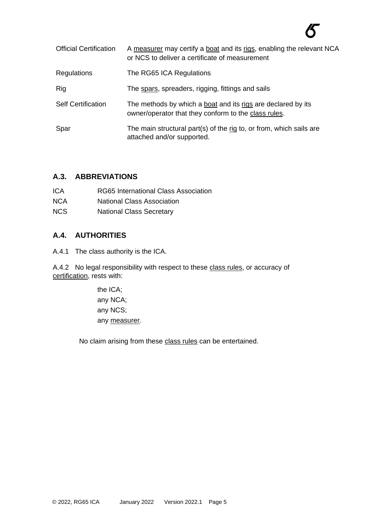# 不

| <b>Official Certification</b> | A measurer may certify a boat and its rigs, enabling the relevant NCA<br>or NCS to deliver a certificate of measurement |
|-------------------------------|-------------------------------------------------------------------------------------------------------------------------|
| Regulations                   | The RG65 ICA Regulations                                                                                                |
| Rig                           | The spars, spreaders, rigging, fittings and sails                                                                       |
| <b>Self Certification</b>     | The methods by which a boat and its rigs are declared by its<br>owner/operator that they conform to the class rules.    |
| Spar                          | The main structural part(s) of the rig to, or from, which sails are<br>attached and/or supported.                       |

#### **A.3. ABBREVIATIONS**

| ICA        | RG65 International Class Association |
|------------|--------------------------------------|
| <b>NCA</b> | <b>National Class Association</b>    |
| NCS        | <b>National Class Secretary</b>      |

#### **A.4. AUTHORITIES**

A.4.1 The class authority is the ICA.

A.4.2 No legal responsibility with respect to these class rules, or accuracy of certification, rests with:

> the ICA; any NCA; any NCS; any measurer.

No claim arising from these class rules can be entertained.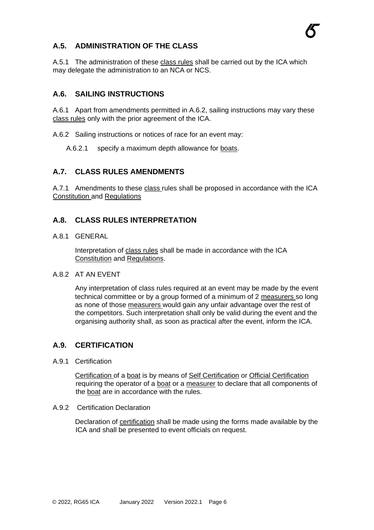#### **A.5. ADMINISTRATION OF THE CLASS**

A.5.1 The administration of these class rules shall be carried out by the ICA which may delegate the administration to an NCA or NCS.

#### **A.6. SAILING INSTRUCTIONS**

A.6.1 Apart from amendments permitted in [A.6.2,](#page-5-0) sailing instructions may vary these class rules only with the prior agreement of the ICA.

<span id="page-5-0"></span>A.6.2 Sailing instructions or notices of race for an event may:

A.6.2.1 specify a maximum depth allowance for boats.

#### **A.7. CLASS RULES AMENDMENTS**

A.7.1 Amendments to these class rules shall be proposed in accordance with the ICA Constitution and Regulations

#### **A.8. CLASS RULES INTERPRETATION**

A.8.1 GENERAL

Interpretation of class rules shall be made in accordance with the ICA Constitution and Regulations.

#### A.8.2 AT AN EVENT

Any interpretation of class rules required at an event may be made by the event technical committee or by a group formed of a minimum of 2 measurers so long as none of those measurers would gain any unfair advantage over the rest of the competitors. Such interpretation shall only be valid during the event and the organising authority shall, as soon as practical after the event, inform the ICA.

#### **A.9. CERTIFICATION**

A.9.1 Certification

Certification of a boat is by means of Self Certification or Official Certification requiring the operator of a boat or a measurer to declare that all components of the boat are in accordance with the rules.

#### A.9.2 Certification Declaration

Declaration of certification shall be made using the forms made available by the ICA and shall be presented to event officials on request.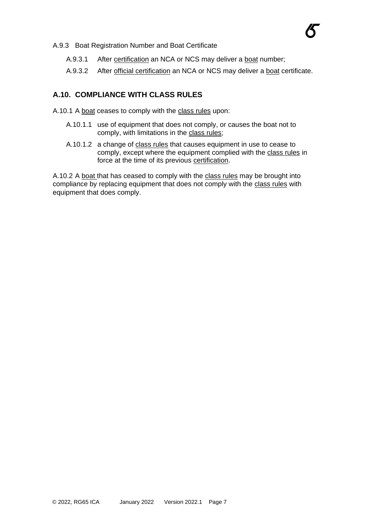

- A.9.3.1 After certification an NCA or NCS may deliver a boat number;
- A.9.3.2 After official certification an NCA or NCS may deliver a boat certificate.

#### **A.10. COMPLIANCE WITH CLASS RULES**

- A.10.1 A boat ceases to comply with the class rules upon:
	- A.10.1.1 use of equipment that does not comply, or causes the boat not to comply, with limitations in the class rules;
	- A.10.1.2 a change of class rules that causes equipment in use to cease to comply, except where the equipment complied with the class rules in force at the time of its previous certification.

A.10.2 A boat that has ceased to comply with the class rules may be brought into compliance by replacing equipment that does not comply with the class rules with equipment that does comply.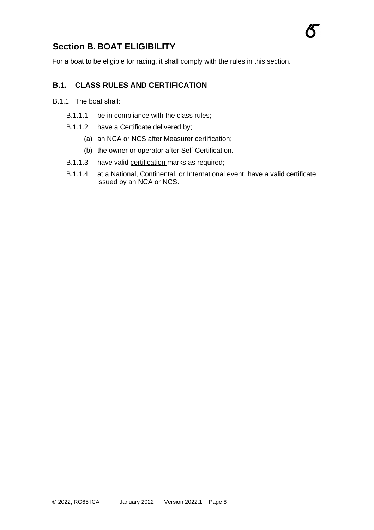#### **Section B. BOAT ELIGIBILITY**

For a **boat** to be eligible for racing, it shall comply with the rules in this section.

#### **B.1. CLASS RULES AND CERTIFICATION**

- B.1.1 The boat shall:
	- B.1.1.1 be in compliance with the class rules;
	- B.1.1.2 have a Certificate delivered by;
		- (a) an NCA or NCS after Measurer certification;
		- (b) the owner or operator after Self Certification.
	- B.1.1.3 have valid certification marks as required;
	- B.1.1.4 at a National, Continental, or International event, have a valid certificate issued by an NCA or NCS.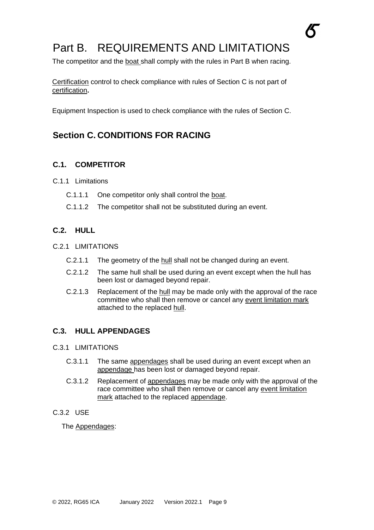# Part B. REQUIREMENTS AND LIMITATIONS

The competitor and the boat shall comply with the rules in Part B when racing.

Certification control to check compliance with rules of Section C is not part of certification**.** 

Equipment Inspection is used to check compliance with the rules of Section C.

### **Section C. CONDITIONS FOR RACING**

#### **C.1. COMPETITOR**

- C.1.1 Limitations
	- C.1.1.1 One competitor only shall control the boat.
	- C.1.1.2 The competitor shall not be substituted during an event.

#### **C.2. HULL**

- C.2.1 LIMITATIONS
	- C.2.1.1 The geometry of the hull shall not be changed during an event.
	- C.2.1.2 The same hull shall be used during an event except when the hull has been lost or damaged beyond repair.
	- C.2.1.3 Replacement of the hull may be made only with the approval of the race committee who shall then remove or cancel any event limitation mark attached to the replaced hull.

#### **C.3. HULL APPENDAGES**

- C.3.1 LIMITATIONS
	- C.3.1.1 The same appendages shall be used during an event except when an appendage has been lost or damaged beyond repair.
	- C.3.1.2 Replacement of appendages may be made only with the approval of the race committee who shall then remove or cancel any event limitation mark attached to the replaced appendage.
- C.3.2 USE

The Appendages: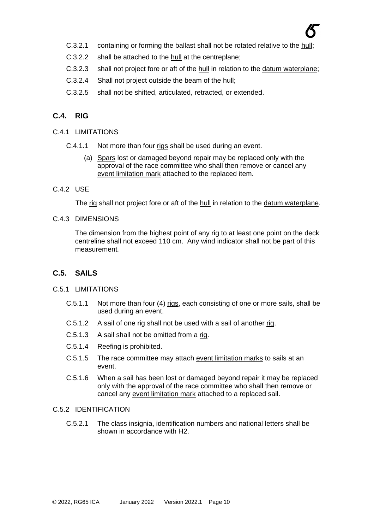- C.3.2.1 containing or forming the ballast shall not be rotated relative to the hull;
- C.3.2.2 shall be attached to the hull at the centreplane;
- C.3.2.3 shall not project fore or aft of the hull in relation to the datum waterplane;
- C.3.2.4 Shall not project outside the beam of the hull;
- C.3.2.5 shall not be shifted, articulated, retracted, or extended.

#### **C.4. RIG**

- C.4.1 LIMITATIONS
	- C.4.1.1 Not more than four rigs shall be used during an event.
		- (a) Spars lost or damaged beyond repair may be replaced only with the approval of the race committee who shall then remove or cancel any event limitation mark attached to the replaced item.
- C.4.2 USE

The rig shall not project fore or aft of the hull in relation to the datum waterplane.

C.4.3 DIMENSIONS

The dimension from the highest point of any rig to at least one point on the deck centreline shall not exceed 110 cm. Any wind indicator shall not be part of this measurement*.*

#### **C.5. SAILS**

#### C.5.1 LIMITATIONS

- C.5.1.1 Not more than four (4) rigs, each consisting of one or more sails, shall be used during an event.
- C.5.1.2 A sail of one rig shall not be used with a sail of another rig.
- C.5.1.3 A sail shall not be omitted from a rig.
- C.5.1.4 Reefing is prohibited.
- C.5.1.5 The race committee may attach event limitation marks to sails at an event.
- C.5.1.6 When a sail has been lost or damaged beyond repair it may be replaced only with the approval of the race committee who shall then remove or cancel any event limitation mark attached to a replaced sail.

#### C.5.2 IDENTIFICATION

C.5.2.1 The class insignia, identification numbers and national letters shall be shown in accordance with H2.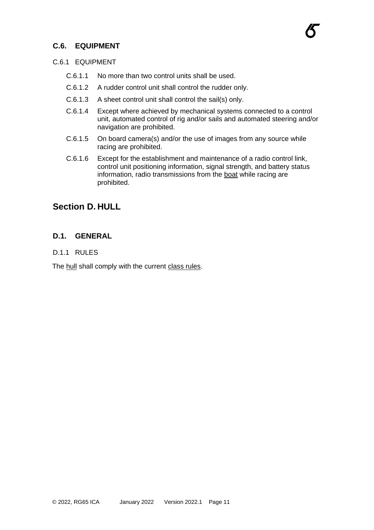#### **C.6. EQUIPMENT**

#### C.6.1 EQUIPMENT

- C.6.1.1 No more than two control units shall be used.
- C.6.1.2 A rudder control unit shall control the rudder only.
- C.6.1.3 A sheet control unit shall control the sail(s) only.
- C.6.1.4 Except where achieved by mechanical systems connected to a control unit, automated control of rig and/or sails and automated steering and/or navigation are prohibited.
- C.6.1.5 On board camera(s) and/or the use of images from any source while racing are prohibited.
- C.6.1.6 Except for the establishment and maintenance of a radio control link, control unit positioning information, signal strength, and battery status information, radio transmissions from the boat while racing are prohibited.

#### **Section D. HULL**

#### **D.1. GENERAL**

#### D.1.1 RULES

The hull shall comply with the current class rules.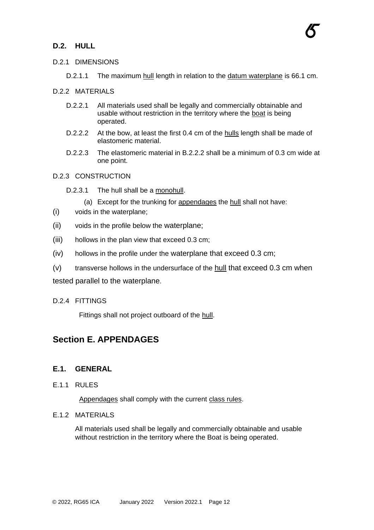#### **D.2. HULL**

#### D.2.1 DIMENSIONS

D.2.1.1 The maximum hull length in relation to the datum waterplane is 66.1 cm.

#### D.2.2 MATERIALS

- D.2.2.1 All materials used shall be legally and commercially obtainable and usable without restriction in the territory where the boat is being operated.
- D.2.2.2 At the bow, at least the first 0.4 cm of the hulls length shall be made of elastomeric material.
- D.2.2.3 The elastomeric material in B.2.2.2 shall be a minimum of 0.3 cm wide at one point.

#### D.2.3 CONSTRUCTION

- D.2.3.1 The hull shall be a monohull.
	- (a) Except for the trunking for appendages the hull shall not have:
- (i) voids in the waterplane;
- (ii) voids in the profile below the waterplane;
- (iii) hollows in the plan view that exceed 0.3 cm;
- (iv) hollows in the profile under the waterplane that exceed 0.3 cm;
- (v) transverse hollows in the undersurface of the hull that exceed 0.3 cm when

tested parallel to the waterplane.

#### D.2.4 FITTINGS

Fittings shall not project outboard of the hull.

#### **Section E. APPENDAGES**

#### **E.1. GENERAL**

E.1.1 RULES

Appendages shall comply with the current class rules.

#### E.1.2 MATERIALS

All materials used shall be legally and commercially obtainable and usable without restriction in the territory where the Boat is being operated.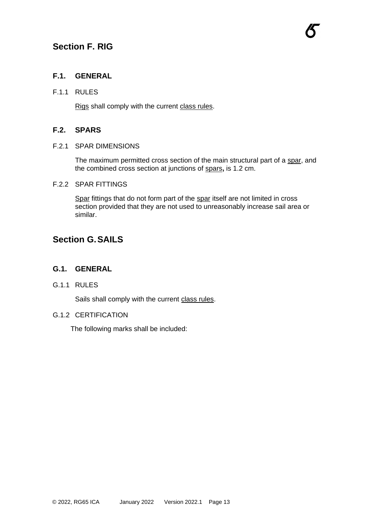#### **Section F. RIG**

#### **F.1. GENERAL**

#### F.1.1 RULES

Rigs shall comply with the current class rules.

#### **F.2. SPARS**

#### F.2.1 SPAR DIMENSIONS

The maximum permitted cross section of the main structural part of a spar, and the combined cross section at junctions of spars**,** is 1.2 cm.

#### F.2.2 SPAR FITTINGS

Spar fittings that do not form part of the spar itself are not limited in cross section provided that they are not used to unreasonably increase sail area or similar.

#### **Section G.SAILS**

#### **G.1. GENERAL**

G.1.1 RULES

Sails shall comply with the current class rules.

#### G.1.2 CERTIFICATION

The following marks shall be included: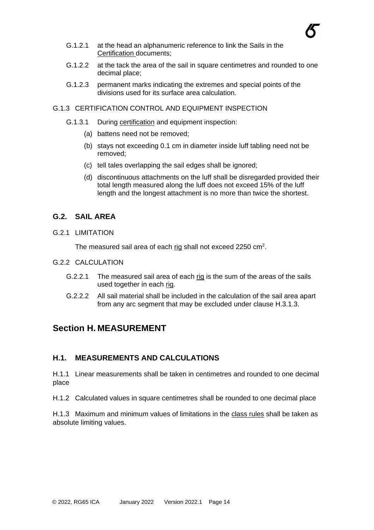

- G.1.2.1 at the head an alphanumeric reference to link the Sails in the Certification documents;
- G.1.2.2 at the tack the area of the sail in square centimetres and rounded to one decimal place;
- G.1.2.3 permanent marks indicating the extremes and special points of the divisions used for its surface area calculation.

#### G.1.3 CERTIFICATION CONTROL AND EQUIPMENT INSPECTION

- G.1.3.1 During certification and equipment inspection:
	- (a) battens need not be removed;
	- (b) stays not exceeding 0.1 cm in diameter inside luff tabling need not be removed;
	- (c) tell tales overlapping the sail edges shall be ignored;
	- (d) discontinuous attachments on the luff shall be disregarded provided their total length measured along the luff does not exceed 15% of the luff length and the longest attachment is no more than twice the shortest.

#### **G.2. SAIL AREA**

G.2.1 LIMITATION

The measured sail area of each rig shall not exceed 2250 cm<sup>2</sup>.

- G.2.2 CALCULATION
	- G.2.2.1 The measured sail area of each rig is the sum of the areas of the sails used together in each rig.
	- G.2.2.2 All sail material shall be included in the calculation of the sail area apart from any arc segment that may be excluded under clause H.3.1.3.

#### **Section H. MEASUREMENT**

#### **H.1. MEASUREMENTS AND CALCULATIONS**

H.1.1 Linear measurements shall be taken in centimetres and rounded to one decimal place

H.1.2 Calculated values in square centimetres shall be rounded to one decimal place

H.1.3 Maximum and minimum values of limitations in the class rules shall be taken as absolute limiting values.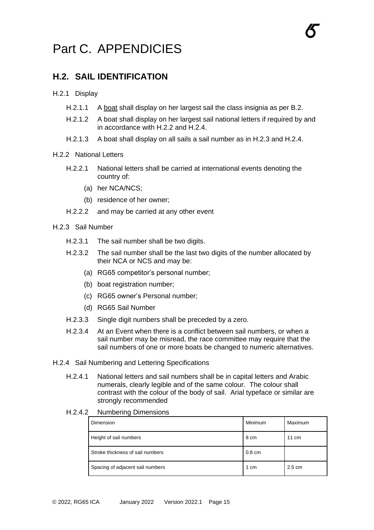# Part C. APPENDICIES

#### **H.2. SAIL IDENTIFICATION**

#### H.2.1 Display

- H.2.1.1 A boat shall display on her largest sail the class insignia as per B.2.
- H.2.1.2 A boat shall display on her largest sail national letters if required by and in accordance with H.2.2 and H.2.4.
- H.2.1.3 A boat shall display on all sails a sail number as in H.2.3 and H.2.4.

#### H.2.2 National Letters

- H.2.2.1 National letters shall be carried at international events denoting the country of:
	- (a) her NCA/NCS;
	- (b) residence of her owner;
- H.2.2.2 and may be carried at any other event

#### H.2.3 Sail Number

- H.2.3.1 The sail number shall be two digits.
- H.2.3.2 The sail number shall be the last two digits of the number allocated by their NCA or NCS and may be:
	- (a) RG65 competitor's personal number;
	- (b) boat registration number;
	- (c) RG65 owner's Personal number;
	- (d) RG65 Sail Number
- H.2.3.3 Single digit numbers shall be preceded by a zero.
- H.2.3.4 At an Event when there is a conflict between sail numbers, or when a sail number may be misread, the race committee may require that the sail numbers of one or more boats be changed to numeric alternatives.
- H.2.4 Sail Numbering and Lettering Specifications
	- H.2.4.1 National letters and sail numbers shall be in capital letters and Arabic numerals, clearly legible and of the same colour. The colour shall contrast with the colour of the body of sail. Arial typeface or similar are strongly recommended
	- H.2.4.2 Numbering Dimensions

| Dimension                        | Minimum          | Maximum          |
|----------------------------------|------------------|------------------|
| Height of sail numbers           | 8 cm             | $11 \text{ cm}$  |
| Stroke thickness of sail numbers | $0.8 \text{ cm}$ |                  |
| Spacing of adjacent sail numbers | 1 cm             | $2.5 \text{ cm}$ |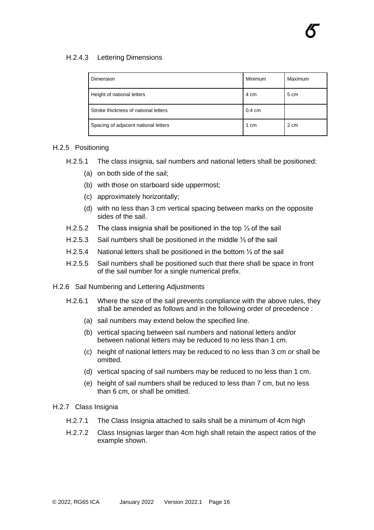#### H.2.4.3 Lettering Dimensions

| <b>Dimension</b>                     | Minimum          | Maximum |
|--------------------------------------|------------------|---------|
| Height of national letters           | 4 cm             | 5 cm    |
| Stroke thickness of national letters | $0.4 \text{ cm}$ |         |
| Spacing of adjacent national letters | 1 cm             | 2 cm    |

#### H.2.5 Positioning

- H.2.5.1 The class insignia, sail numbers and national letters shall be positioned:
	- (a) on both side of the sail;
	- (b) with those on starboard side uppermost;
	- (c) approximately horizontally;
	- (d) with no less than 3 cm vertical spacing between marks on the opposite sides of the sail.
- H.2.5.2 The class insignia shall be positioned in the top 1⁄3 of the sail
- H.2.5.3 Sail numbers shall be positioned in the middle ⅓ of the sail
- H.2.5.4 National letters shall be positioned in the bottom ⅓ of the sail
- H.2.5.5 Sail numbers shall be positioned such that there shall be space in front of the sail number for a single numerical prefix.
- H.2.6 Sail Numbering and Lettering Adjustments
	- H.2.6.1 Where the size of the sail prevents compliance with the above rules, they shall be amended as follows and in the following order of precedence :
		- (a) sail numbers may extend below the specified line.
		- (b) vertical spacing between sail numbers and national letters and/or between national letters may be reduced to no less than 1 cm.
		- (c) height of national letters may be reduced to no less than 3 cm or shall be omitted.
		- (d) vertical spacing of sail numbers may be reduced to no less than 1 cm.
		- (e) height of sail numbers shall be reduced to less than 7 cm, but no less than 6 cm, or shall be omitted.
- H.2.7 Class Insignia
	- H.2.7.1 The Class Insignia attached to sails shall be a minimum of 4cm high
	- H.2.7.2 Class Insignias larger than 4cm high shall retain the aspect ratios of the example shown.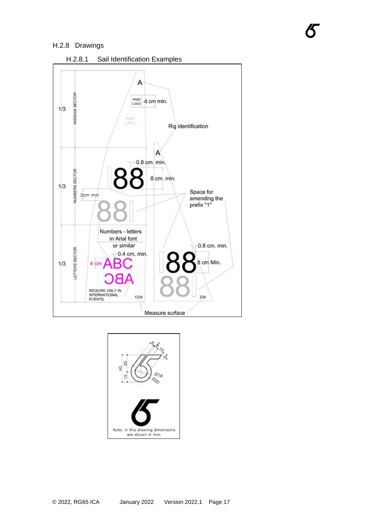#### H.2.8 Drawings





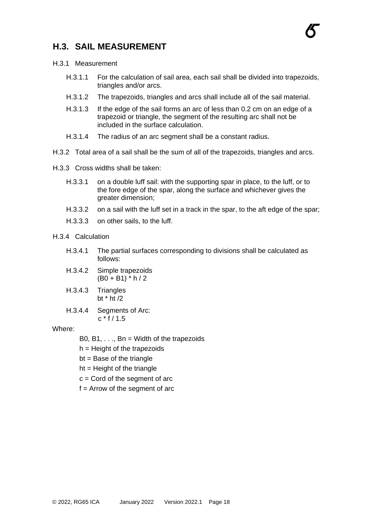#### **H.3. SAIL MEASUREMENT**



- H.3.1 Measurement
	- H.3.1.1 For the calculation of sail area, each sail shall be divided into trapezoids, triangles and/or arcs.
	- H.3.1.2 The trapezoids, triangles and arcs shall include all of the sail material.
	- H.3.1.3 If the edge of the sail forms an arc of less than 0.2 cm on an edge of a trapezoid or triangle, the segment of the resulting arc shall not be included in the surface calculation.
	- H.3.1.4 The radius of an arc segment shall be a constant radius.
- H.3.2 Total area of a sail shall be the sum of all of the trapezoids, triangles and arcs.
- H.3.3 Cross widths shall be taken:
	- H.3.3.1 on a double luff sail: with the supporting spar in place, to the luff, or to the fore edge of the spar, along the surface and whichever gives the greater dimension;
	- H.3.3.2 on a sail with the luff set in a track in the spar, to the aft edge of the spar;
	- H.3.3.3 on other sails, to the luff.

#### H.3.4 Calculation

- H.3.4.1 The partial surfaces corresponding to divisions shall be calculated as follows:
- H.3.4.2 Simple trapezoids  $(B0 + B1) * h / 2$
- H.3.4.3 Triangles bt \* ht /2
- H.3.4.4 Segments of Arc:  $c * f / 1.5$

#### Where:

- B0, B1,  $\dots$ , Bn = Width of the trapezoids
- $h =$  Height of the trapezoids
- $bt = Base of the triangle$
- $ht =$  Height of the triangle
- $c =$  Cord of the segment of arc
- $f =$  Arrow of the segment of arc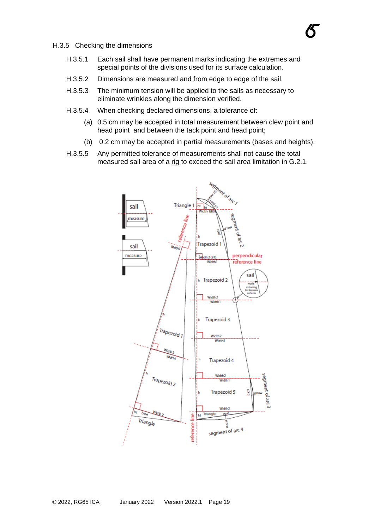- H.3.5 Checking the dimensions
	- H.3.5.1 Each sail shall have permanent marks indicating the extremes and special points of the divisions used for its surface calculation.
	- H.3.5.2 Dimensions are measured and from edge to edge of the sail.
	- H.3.5.3 The minimum tension will be applied to the sails as necessary to eliminate wrinkles along the dimension verified.
	- H.3.5.4 When checking declared dimensions, a tolerance of:
		- (a) 0.5 cm may be accepted in total measurement between clew point and head point and between the tack point and head point;
		- (b) 0.2 cm may be accepted in partial measurements (bases and heights).
	- H.3.5.5 Any permitted tolerance of measurements shall not cause the total measured sail area of a rig to exceed the sail area limitation in G.2.1.

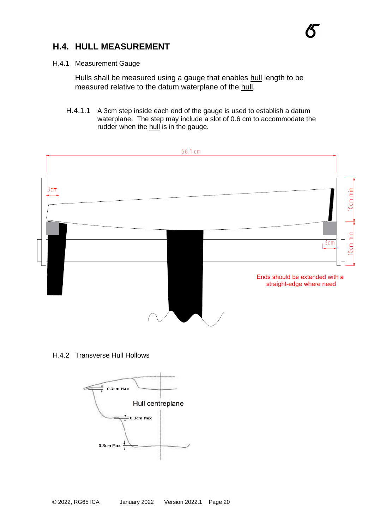#### **H.4. HULL MEASUREMENT**

#### H.4.1 Measurement Gauge

Hulls shall be measured using a gauge that enables hull length to be measured relative to the datum waterplane of the hull.

H.4.1.1 A 3cm step inside each end of the gauge is used to establish a datum waterplane. The step may include a slot of 0.6 cm to accommodate the rudder when the hull is in the gauge.



H.4.2 Transverse Hull Hollows

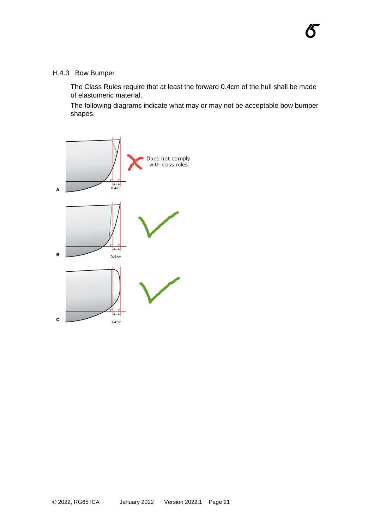The Class Rules require that at least the forward 0.4cm of the hull shall be made of elastomeric material.

不

The following diagrams indicate what may or may not be acceptable bow bumper shapes.

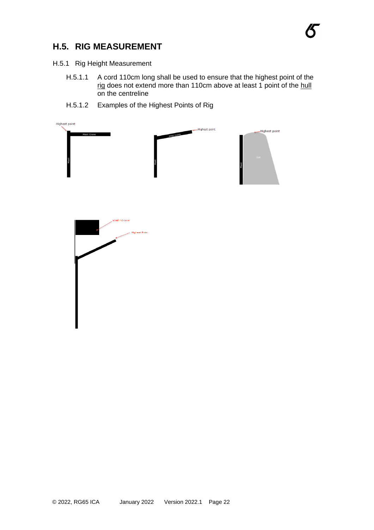### **H.5. RIG MEASUREMENT**

- H.5.1 Rig Height Measurement
	- H.5.1.1 A cord 110cm long shall be used to ensure that the highest point of the <u>rig</u> does not extend more than 110cm above at least 1 point of the <u>hull</u> on the centreline
	- H.5.1.2 Examples of the Highest Points of Rig

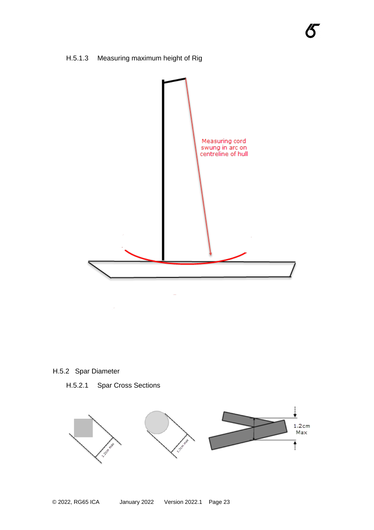



**不** 

H.5.2 Spar Diameter

H.5.2.1 Spar Cross Sections